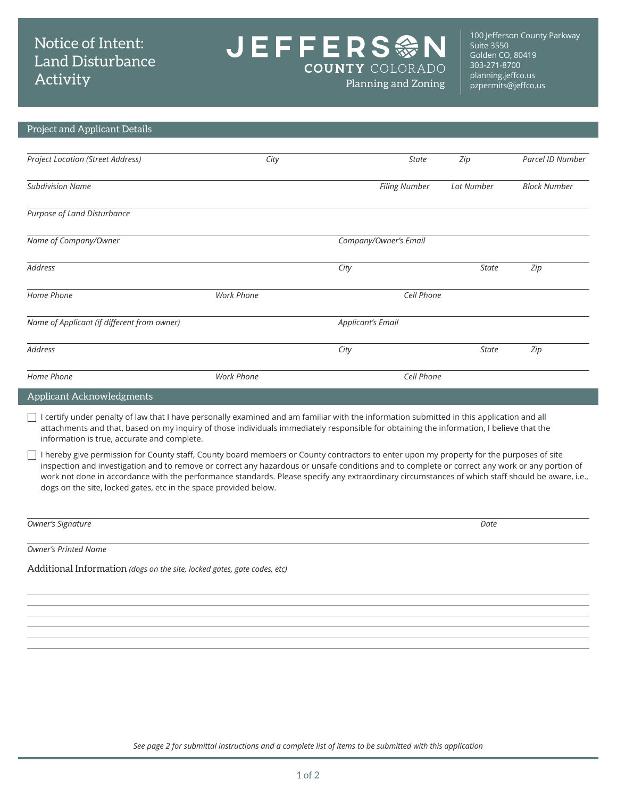## Notice of Intent: Land Disturbance Activity

JEFFERS參N  $\overline{\phantom{0}}$ **COUNTY COLORADO** 

100 Jefferson County Parkway Suite 3550 Golden CO, 80419 303-271-8700 [planning.jeffco.us](http://planning.jeffco.us) Planning and Zoning partitional processes

## Project and Applicant Details

| <b>Project Location (Street Address)</b>    | City                     | <b>State</b>          | Zip          | Parcel ID Number    |
|---------------------------------------------|--------------------------|-----------------------|--------------|---------------------|
| <b>Subdivision Name</b>                     |                          | <b>Filing Number</b>  | Lot Number   | <b>Block Number</b> |
| Purpose of Land Disturbance                 |                          |                       |              |                     |
| Name of Company/Owner                       |                          | Company/Owner's Email |              |                     |
| Address                                     |                          | City                  | <b>State</b> | Zip                 |
| Home Phone                                  | Work Phone               | Cell Phone            |              |                     |
| Name of Applicant (if different from owner) | <b>Applicant's Email</b> |                       |              |                     |
| Address                                     |                          | City                  | <b>State</b> | Zip                 |
| Home Phone                                  | Work Phone               | Cell Phone            |              |                     |

Applicant Acknowledgments

 $\Box$  I certify under penalty of law that I have personally examined and am familiar with the information submitted in this application and all attachments and that, based on my inquiry of those individuals immediately responsible for obtaining the information, I believe that the information is true, accurate and complete.

 $\Box$  I hereby give permission for County staff, County board members or County contractors to enter upon my property for the purposes of site inspection and investigation and to remove or correct any hazardous or unsafe conditions and to complete or correct any work or any portion of work not done in accordance with the performance standards. Please specify any extraordinary circumstances of which staff should be aware, i.e., dogs on the site, locked gates, etc in the space provided below.

*Owner's Signature Date*

*Owner's Printed Name*

Additional Information *(dogs on the site, locked gates, gate codes, etc)*

*See page 2 for submittal instructions and a complete list of items to be submitted with this application*